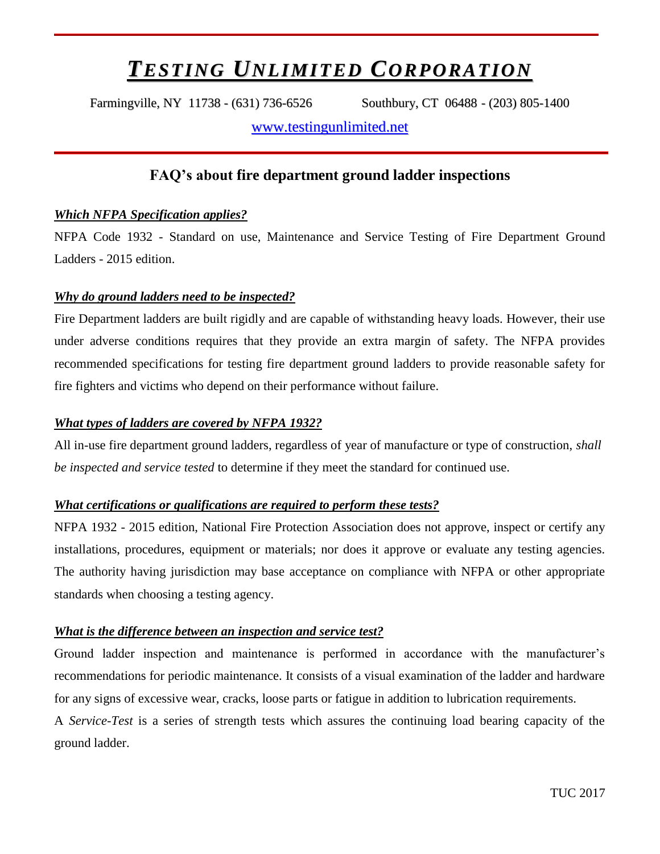# *TESTING UNLIMITED CORPORATION*

Farmingville, NY 11738 - (631) 736-6526 Southbury, CT 06488 - (203) 805-1400

[www.testingunlimited.net](http://www.testingunlimited.net/)

## **FAQ's about fire department ground ladder inspections**

## *Which NFPA Specification applies?*

NFPA Code 1932 - Standard on use, Maintenance and Service Testing of Fire Department Ground Ladders - 2015 edition.

## *Why do ground ladders need to be inspected?*

Fire Department ladders are built rigidly and are capable of withstanding heavy loads. However, their use under adverse conditions requires that they provide an extra margin of safety. The NFPA provides recommended specifications for testing fire department ground ladders to provide reasonable safety for fire fighters and victims who depend on their performance without failure.

#### *What types of ladders are covered by NFPA 1932?*

All in-use fire department ground ladders, regardless of year of manufacture or type of construction, *shall be inspected and service tested* to determine if they meet the standard for continued use.

#### *What certifications or qualifications are required to perform these tests?*

NFPA 1932 - 2015 edition, National Fire Protection Association does not approve, inspect or certify any installations, procedures, equipment or materials; nor does it approve or evaluate any testing agencies. The authority having jurisdiction may base acceptance on compliance with NFPA or other appropriate standards when choosing a testing agency.

#### *What is the difference between an inspection and service test?*

Ground ladder inspection and maintenance is performed in accordance with the manufacturer's recommendations for periodic maintenance. It consists of a visual examination of the ladder and hardware for any signs of excessive wear, cracks, loose parts or fatigue in addition to lubrication requirements.

A *Service-Test* is a series of strength tests which assures the continuing load bearing capacity of the ground ladder.